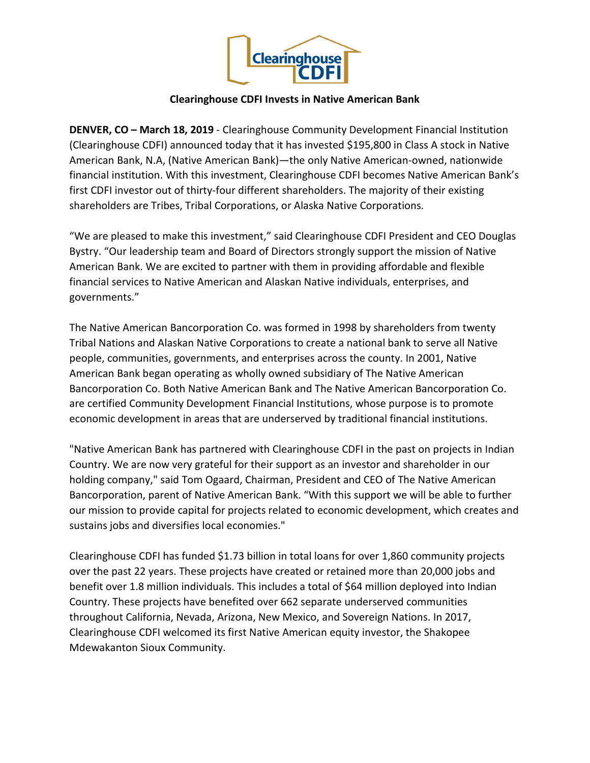

## **Clearinghouse CDFI Invests in Native American Bank**

**DENVER, CO – March 18, 2019** - Clearinghouse Community Development Financial Institution (Clearinghouse CDFI) announced today that it has invested \$195,800 in Class A stock in Native American Bank, N.A, (Native American Bank)—the only Native American-owned, nationwide financial institution. With this investment, Clearinghouse CDFI becomes Native American Bank's first CDFI investor out of thirty-four different shareholders. The majority of their existing shareholders are Tribes, Tribal Corporations, or Alaska Native Corporations.

"We are pleased to make this investment," said Clearinghouse CDFI President and CEO Douglas Bystry. "Our leadership team and Board of Directors strongly support the mission of Native American Bank. We are excited to partner with them in providing affordable and flexible financial services to Native American and Alaskan Native individuals, enterprises, and governments."

The Native American Bancorporation Co. was formed in 1998 by shareholders from twenty Tribal Nations and Alaskan Native Corporations to create a national bank to serve all Native people, communities, governments, and enterprises across the county. In 2001, Native American Bank began operating as wholly owned subsidiary of The Native American Bancorporation Co. Both Native American Bank and The Native American Bancorporation Co. are certified Community Development Financial Institutions, whose purpose is to promote economic development in areas that are underserved by traditional financial institutions.

"Native American Bank has partnered with Clearinghouse CDFI in the past on projects in Indian Country. We are now very grateful for their support as an investor and shareholder in our holding company," said Tom Ogaard, Chairman, President and CEO of The Native American Bancorporation, parent of Native American Bank. "With this support we will be able to further our mission to provide capital for projects related to economic development, which creates and sustains jobs and diversifies local economies."

Clearinghouse CDFI has funded \$1.73 billion in total loans for over 1,860 community projects over the past 22 years. These projects have created or retained more than 20,000 jobs and benefit over 1.8 million individuals. This includes a total of \$64 million deployed into Indian Country. These projects have benefited over 662 separate underserved communities throughout California, Nevada, Arizona, New Mexico, and Sovereign Nations. In 2017, Clearinghouse CDFI welcomed its first Native American equity investor, the Shakopee Mdewakanton Sioux Community.